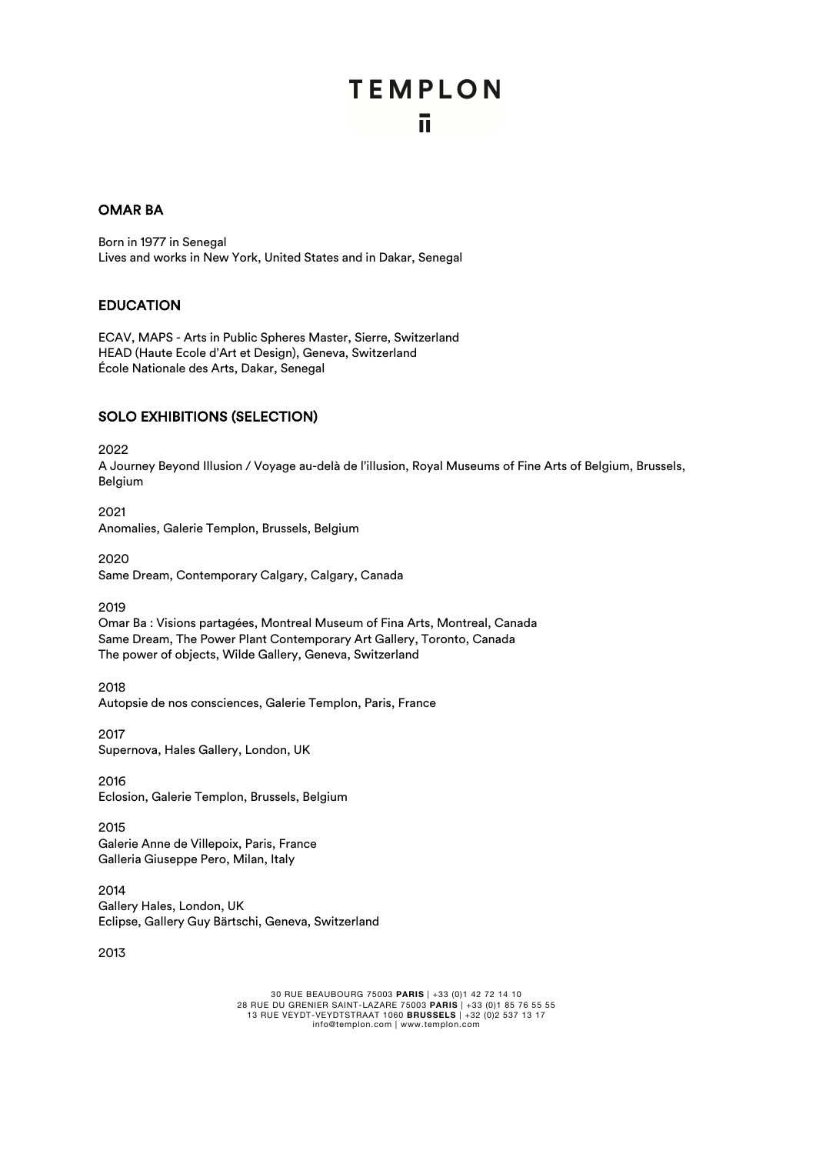# **TEMPLON** ū.

## OMAR BA

Born in 1977 in Senegal Lives and works in New York, United States and in Dakar, Senegal

#### EDUCATION

ECAV, MAPS - Arts in Public Spheres Master, Sierre, Switzerland HEAD (Haute Ecole d'Art et Design), Geneva, Switzerland École Nationale des Arts, Dakar, Senegal

### SOLO EXHIBITIONS (SELECTION)

2022

A Journey Beyond Illusion / Voyage au-delà de l'illusion, Royal Museums of Fine Arts of Belgium, Brussels, Belgium

2021 Anomalies, Galerie Templon, Brussels, Belgium

2020 Same Dream, Contemporary Calgary, Calgary, Canada

2019

Omar Ba : Visions partagées, Montreal Museum of Fina Arts, Montreal, Canada Same Dream, The Power Plant Contemporary Art Gallery, Toronto, Canada The power of objects, Wilde Gallery, Geneva, Switzerland

2018 Autopsie de nos consciences, Galerie Templon, Paris, France

2017 Supernova, Hales Gallery, London, UK

2016 Eclosion, Galerie Templon, Brussels, Belgium

2015 Galerie Anne de Villepoix, Paris, France Galleria Giuseppe Pero, Milan, Italy

2014 Gallery Hales, London, UK Eclipse, Gallery Guy Bärtschi, Geneva, Switzerland

2013

30 RUE BEAUBOURG 75003 **PARIS** | +33 (0)1 42 72 14 10 28 RUE DU GRENIER SAINT-LAZARE 75003 **PARIS** | +33 (0)1 85 76 55 55 13 RUE VEYDT-VEYDTSTRAAT 1060 **BRUSSELS** | +32 (0)2 537 13 17 info@templon.com | www.templon.com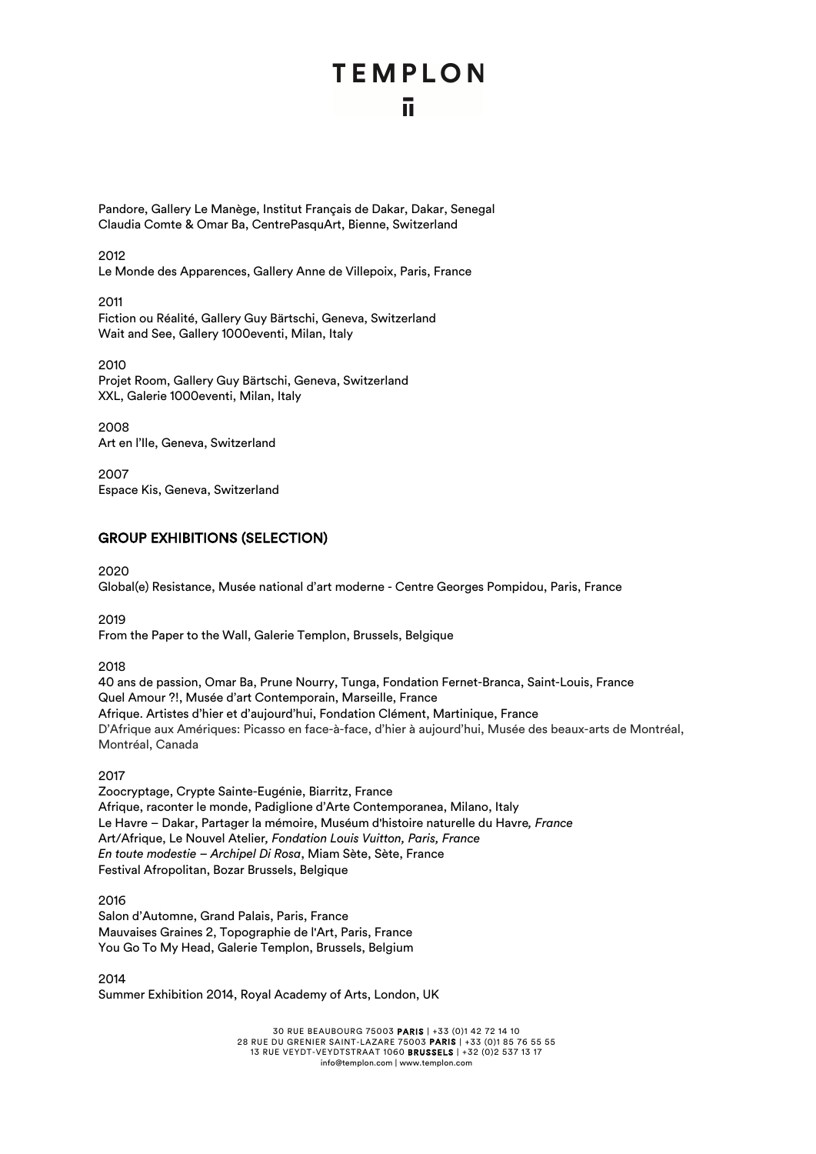# **TEMPLON** īī.

Pandore, Gallery Le Manège, Institut Français de Dakar, Dakar, Senegal Claudia Comte & Omar Ba, CentrePasquArt, Bienne, Switzerland

2012

Le Monde des Apparences, Gallery Anne de Villepoix, Paris, France

2011 Fiction ou Réalité, Gallery Guy Bärtschi, Geneva, Switzerland Wait and See, Gallery 1000eventi, Milan, Italy

2010 Projet Room, Gallery Guy Bärtschi, Geneva, Switzerland XXL, Galerie 1000eventi, Milan, Italy

2008 Art en l'Ile, Geneva, Switzerland

2007 Espace Kis, Geneva, Switzerland

## GROUP EXHIBITIONS (SELECTION)

2020

Global(e) Resistance, Musée national d'art moderne - Centre Georges Pompidou, Paris, France

2019

From the Paper to the Wall, Galerie Templon, Brussels, Belgique

2018

40 ans de passion, Omar Ba, Prune Nourry, Tunga, Fondation Fernet-Branca, Saint-Louis, France Quel Amour ?!, Musée d'art Contemporain, Marseille, France Afrique. Artistes d'hier et d'aujourd'hui, Fondation Clément, Martinique, France D'Afrique aux Amériques: Picasso en face-à-face, d'hier à aujourd'hui, Musée des beaux-arts de Montréal, Montréal, Canada

2017

Zoocryptage, Crypte Sainte-Eugénie, Biarritz, France Afrique, raconter le monde, Padiglione d'Arte Contemporanea, Milano, Italy Le Havre – Dakar, Partager la mémoire, Muséum d'histoire naturelle du Havre*, France* Art/Afrique, Le Nouvel Atelier*, Fondation Louis Vuitton, Paris, France En toute modestie – Archipel Di Rosa*, Miam Sète, Sète, France Festival Afropolitan, Bozar Brussels, Belgique

2016 Salon d'Automne, Grand Palais, Paris, France Mauvaises Graines 2, Topographie de l'Art, Paris, France You Go To My Head, Galerie Templon, Brussels, Belgium

2014 Summer Exhibition 2014, Royal Academy of Arts, London, UK

> 30 RUE BEAUBOURG 75003 PARIS | +33 (0)1 42 72 14 10 28 RUE DU GRENIER SAINT-LAZARE 75003 PARIS | +33 (0)1 85 76 55 55 13 RUE VEYDT-VEYDTSTRAAT 1060 BRUSSELS | +32 (0)2 537 13 17 info@templon.com | www.templon.com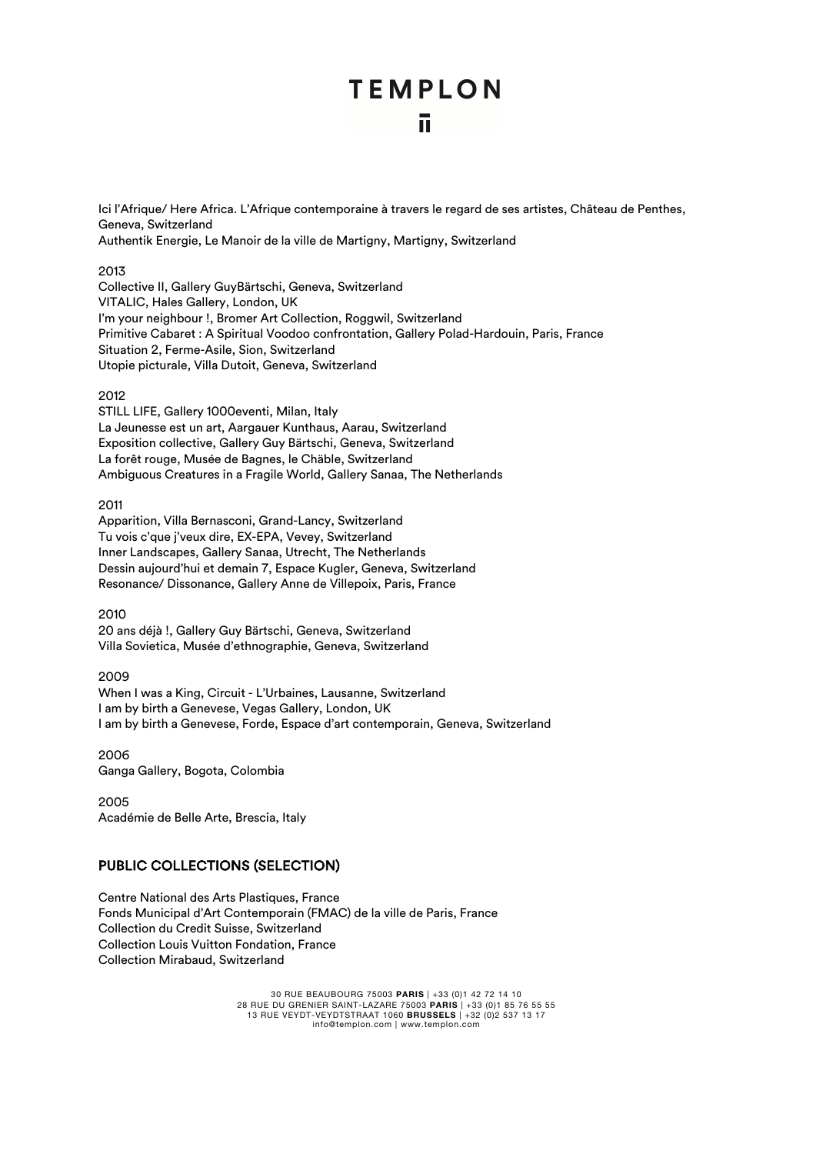# **TEMPLON** ū.

Ici l'Afrique/ Here Africa. L'Afrique contemporaine à travers le regard de ses artistes, Château de Penthes, Geneva, Switzerland Authentik Energie, Le Manoir de la ville de Martigny, Martigny, Switzerland

#### 2013

Collective II, Gallery GuyBärtschi, Geneva, Switzerland VITALIC, Hales Gallery, London, UK I'm your neighbour !, Bromer Art Collection, Roggwil, Switzerland Primitive Cabaret : A Spiritual Voodoo confrontation, Gallery Polad-Hardouin, Paris, France Situation 2, Ferme-Asile, Sion, Switzerland Utopie picturale, Villa Dutoit, Geneva, Switzerland

#### 2012

STILL LIFE, Gallery 1000eventi, Milan, Italy La Jeunesse est un art, Aargauer Kunthaus, Aarau, Switzerland Exposition collective, Gallery Guy Bärtschi, Geneva, Switzerland La forêt rouge, Musée de Bagnes, le Chäble, Switzerland Ambiguous Creatures in a Fragile World, Gallery Sanaa, The Netherlands

#### 2011

Apparition, Villa Bernasconi, Grand-Lancy, Switzerland Tu vois c'que j'veux dire, EX-EPA, Vevey, Switzerland Inner Landscapes, Gallery Sanaa, Utrecht, The Netherlands Dessin aujourd'hui et demain 7, Espace Kugler, Geneva, Switzerland Resonance/ Dissonance, Gallery Anne de Villepoix, Paris, France

2010

20 ans déjà !, Gallery Guy Bärtschi, Geneva, Switzerland Villa Sovietica, Musée d'ethnographie, Geneva, Switzerland

2009

When I was a King, Circuit - L'Urbaines, Lausanne, Switzerland I am by birth a Genevese, Vegas Gallery, London, UK I am by birth a Genevese, Forde, Espace d'art contemporain, Geneva, Switzerland

2006 Ganga Gallery, Bogota, Colombia

2005 Académie de Belle Arte, Brescia, Italy

# PUBLIC COLLECTIONS (SELECTION)

Centre National des Arts Plastiques, France Fonds Municipal d'Art Contemporain (FMAC) de la ville de Paris, France Collection du Credit Suisse, Switzerland Collection Louis Vuitton Fondation, France Collection Mirabaud, Switzerland

> 30 RUE BEAUBOURG 75003 **PARIS** | +33 (0)1 42 72 14 10 28 RUE DU GRENIER SAINT-LAZARE 75003 **PARIS** | +33 (0)1 85 76 55 55 13 RUE VEYDT-VEYDTSTRAAT 1060 **BRUSSELS** | +32 (0)2 537 13 17 info@templon.com | www.templon.com